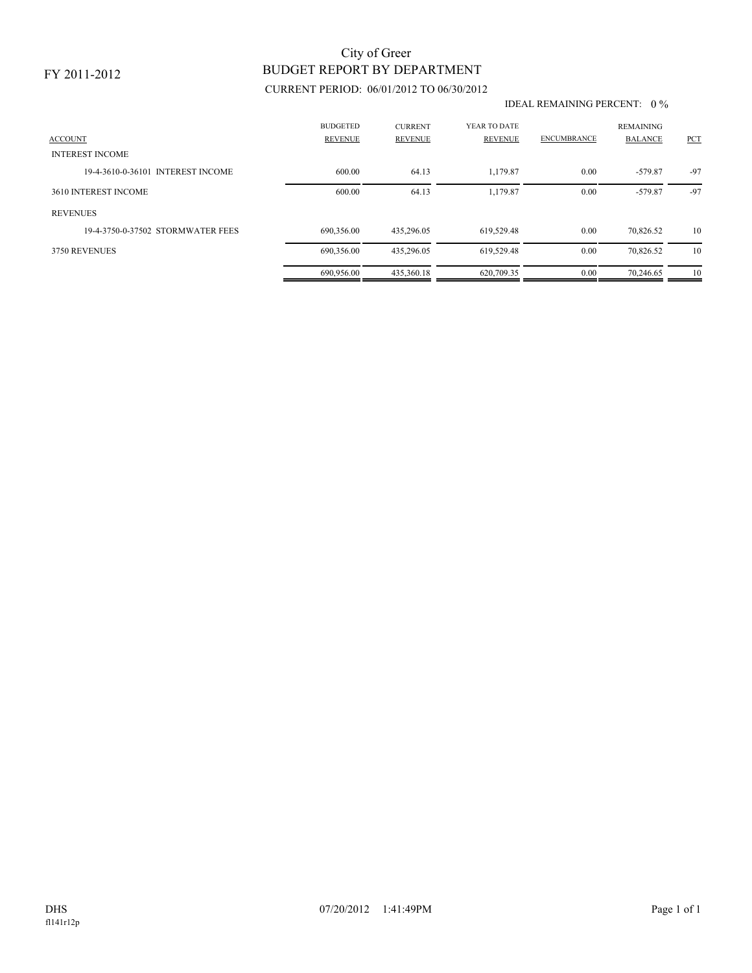### FY 2011-2012

## BUDGET REPORT BY DEPARTMENT City of Greer

## CURRENT PERIOD: 06/01/2012 TO 06/30/2012

#### IDEAL REMAINING PERCENT: 0 %

| <b>ACCOUNT</b>                    | <b>BUDGETED</b><br><b>REVENUE</b> | <b>CURRENT</b><br><b>REVENUE</b> | YEAR TO DATE<br><b>REVENUE</b> | <b>ENCUMBRANCE</b> | <b>REMAINING</b><br><b>BALANCE</b> | PCT   |
|-----------------------------------|-----------------------------------|----------------------------------|--------------------------------|--------------------|------------------------------------|-------|
| <b>INTEREST INCOME</b>            |                                   |                                  |                                |                    |                                    |       |
| 19-4-3610-0-36101 INTEREST INCOME | 600.00                            | 64.13                            | 1.179.87                       | 0.00               | $-579.87$                          | $-97$ |
| 3610 INTEREST INCOME              | 600.00                            | 64.13                            | 1,179.87                       | 0.00               | $-579.87$                          | $-97$ |
| <b>REVENUES</b>                   |                                   |                                  |                                |                    |                                    |       |
| 19-4-3750-0-37502 STORMWATER FEES | 690.356.00                        | 435.296.05                       | 619.529.48                     | 0.00               | 70,826.52                          | 10    |
| 3750 REVENUES                     | 690.356.00                        | 435.296.05                       | 619.529.48                     | 0.00               | 70,826.52                          | 10    |
|                                   | 690.956.00                        | 435,360.18                       | 620.709.35                     | 0.00               | 70.246.65                          | 10    |